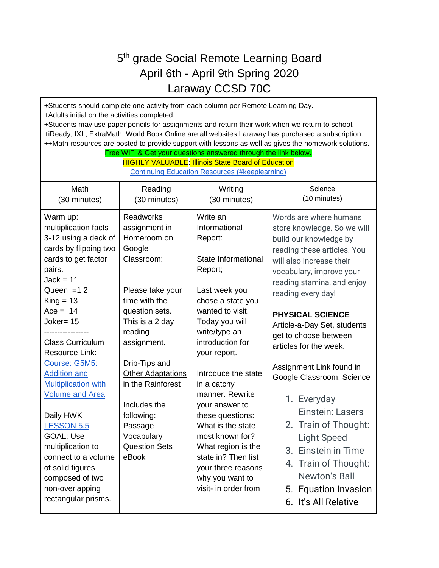## 5<sup>th</sup> grade Social Remote Learning Board April 6th - April 9th Spring 2020 Laraway CCSD 70C

+Students should complete one activity from each column per Remote Learning Day. +Adults initial on the activities completed. +Students may use paper pencils for assignments and return their work when we return to school. +iReady, IXL, ExtraMath, World Book Online are all websites Laraway has purchased a subscription. ++Math resources are posted to provide support with lessons as well as gives the homework solutions. Free WiFi & Get your questions answered through the link below. **HIGHLY VALUABLE: Illinois State Board of Education** [Continuing Education Resources \(#keeplearning\)](https://www.isbe.net/Pages/ContinueEDResources.aspx) Math (30 minutes) Reading (30 minutes) **Writing** (30 minutes) **Science** (10 minutes) Warm up: multiplication facts 3-12 using a deck of cards by flipping two cards to get factor pairs.  $Jack = 11$ Queen  $=12$  $K$ ing = 13  $Ace = 14$ Joker= 15 ----------------- Class Curriculum Resource Link: [Course: G5M5:](https://embarc.online/course/view.php?id=9)  [Addition and](https://embarc.online/course/view.php?id=9)  [Multiplication with](https://embarc.online/course/view.php?id=9)  [Volume and Area](https://embarc.online/course/view.php?id=9) Daily HWK [LESSON 5.5](https://docs.google.com/document/d/1CSFr1OrvURGWY_PaFtWRKNi6PjMWsvfAszfStZXT7t8/edit?usp=sharing) GOAL: Use multiplication to connect to a volume of solid figures composed of two non-overlapping rectangular prisms. Readworks assignment in Homeroom on Google Classroom: Please take your time with the question sets. This is a 2 day reading assignment. Drip-Tips and **Other Adaptations** in the Rainforest Includes the following: Passage Vocabulary Question Sets eBook Write an Informational Report: State Informational Report; Last week you chose a state you wanted to visit. Today you will write/type an introduction for your report. Introduce the state in a catchy manner. Rewrite your answer to these questions: What is the state most known for? What region is the state in? Then list your three reasons why you want to visit- in order from Words are where humans store knowledge. So we will build our knowledge by reading these articles. You will also increase their vocabulary, improve your reading stamina, and enjoy reading every day! **PHYSICAL SCIENCE**  Article-a-Day Set, students get to choose between articles for the week. Assignment Link found in Google Classroom, Science 1. Everyday Einstein: Lasers 2. Train of Thought: Light Speed 3. Einstein in Time 4. Train of Thought: Newton's Ball 5. Equation Invasion 6. It's All Relative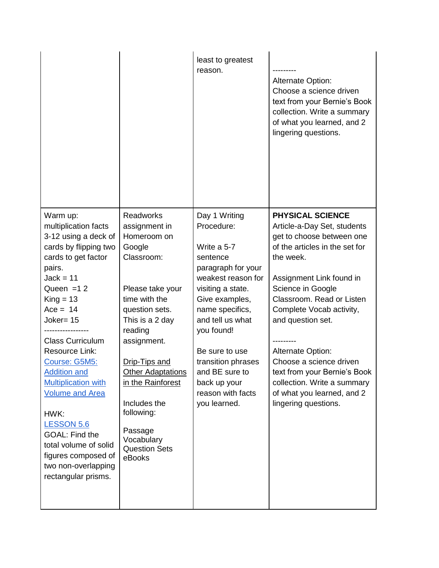|                                                                                                                                                                                                                                                                                                                                                                                                                                                                                                    |                                                                                                                                                                                                                                                                                                                                         | least to greatest<br>reason.                                                                                                                                                                                                                                                                                  | <b>Alternate Option:</b><br>Choose a science driven<br>text from your Bernie's Book<br>collection. Write a summary<br>of what you learned, and 2<br>lingering questions.                                                                                                                                                                                                                                                                      |
|----------------------------------------------------------------------------------------------------------------------------------------------------------------------------------------------------------------------------------------------------------------------------------------------------------------------------------------------------------------------------------------------------------------------------------------------------------------------------------------------------|-----------------------------------------------------------------------------------------------------------------------------------------------------------------------------------------------------------------------------------------------------------------------------------------------------------------------------------------|---------------------------------------------------------------------------------------------------------------------------------------------------------------------------------------------------------------------------------------------------------------------------------------------------------------|-----------------------------------------------------------------------------------------------------------------------------------------------------------------------------------------------------------------------------------------------------------------------------------------------------------------------------------------------------------------------------------------------------------------------------------------------|
| Warm up:<br>multiplication facts<br>3-12 using a deck of<br>cards by flipping two<br>cards to get factor<br>pairs.<br>$Jack = 11$<br>Queen $=12$<br>$King = 13$<br>$Acc = 14$<br>Joker= 15<br><b>Class Curriculum</b><br><b>Resource Link:</b><br>Course: G5M5:<br><b>Addition and</b><br><b>Multiplication with</b><br><b>Volume and Area</b><br>HWK:<br><b>LESSON 5.6</b><br><b>GOAL: Find the</b><br>total volume of solid<br>figures composed of<br>two non-overlapping<br>rectangular prisms. | <b>Readworks</b><br>assignment in<br>Homeroom on<br>Google<br>Classroom:<br>Please take your<br>time with the<br>question sets.<br>This is a 2 day<br>reading<br>assignment.<br>Drip-Tips and<br><b>Other Adaptations</b><br>in the Rainforest<br>Includes the<br>following:<br>Passage<br>Vocabulary<br><b>Question Sets</b><br>eBooks | Day 1 Writing<br>Procedure:<br>Write a 5-7<br>sentence<br>paragraph for your<br>weakest reason for<br>visiting a state.<br>Give examples,<br>name specifics,<br>and tell us what<br>you found!<br>Be sure to use<br>transition phrases<br>and BE sure to<br>back up your<br>reason with facts<br>you learned. | <b>PHYSICAL SCIENCE</b><br>Article-a-Day Set, students<br>get to choose between one<br>of the articles in the set for<br>the week.<br>Assignment Link found in<br>Science in Google<br>Classroom. Read or Listen<br>Complete Vocab activity,<br>and question set.<br><b>Alternate Option:</b><br>Choose a science driven<br>text from your Bernie's Book<br>collection. Write a summary<br>of what you learned, and 2<br>lingering questions. |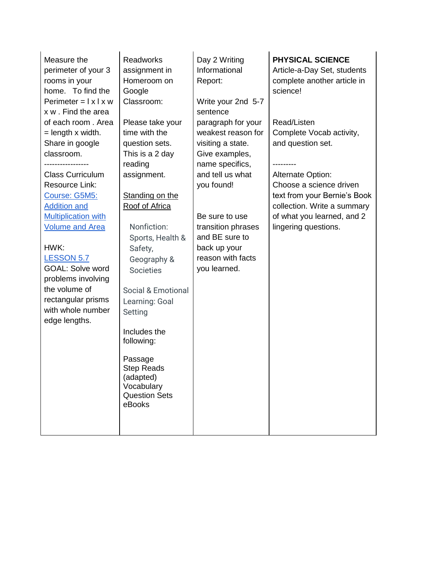| Measure the<br>perimeter of your 3<br>rooms in your<br>home. To find the<br>Perimeter = $\vert x \vert x w$<br>x w . Find the area<br>of each room. Area<br>$=$ length x width. | Readworks<br>assignment in<br>Homeroom on<br>Google<br>Classroom:<br>Please take your<br>time with the | Day 2 Writing<br>Informational<br>Report:<br>Write your 2nd 5-7<br>sentence<br>paragraph for your<br>weakest reason for | <b>PHYSICAL SCIENCE</b><br>Article-a-Day Set, students<br>complete another article in<br>science!<br>Read/Listen<br>Complete Vocab activity, |
|---------------------------------------------------------------------------------------------------------------------------------------------------------------------------------|--------------------------------------------------------------------------------------------------------|-------------------------------------------------------------------------------------------------------------------------|----------------------------------------------------------------------------------------------------------------------------------------------|
| Share in google<br>classroom.                                                                                                                                                   | question sets.<br>This is a 2 day                                                                      | visiting a state.<br>Give examples,                                                                                     | and question set.                                                                                                                            |
|                                                                                                                                                                                 | reading                                                                                                | name specifics,                                                                                                         |                                                                                                                                              |
| <b>Class Curriculum</b>                                                                                                                                                         | assignment.                                                                                            | and tell us what                                                                                                        | Alternate Option:                                                                                                                            |
| <b>Resource Link:</b>                                                                                                                                                           |                                                                                                        | you found!                                                                                                              | Choose a science driven                                                                                                                      |
| Course: G5M5:                                                                                                                                                                   | Standing on the                                                                                        |                                                                                                                         | text from your Bernie's Book                                                                                                                 |
| <b>Addition and</b><br><b>Multiplication with</b>                                                                                                                               | Roof of Africa                                                                                         | Be sure to use                                                                                                          | collection. Write a summary<br>of what you learned, and 2                                                                                    |
| <b>Volume and Area</b>                                                                                                                                                          | Nonfiction:<br>Sports, Health &                                                                        | transition phrases<br>and BE sure to                                                                                    | lingering questions.                                                                                                                         |
| HWK:                                                                                                                                                                            | Safety,                                                                                                | back up your                                                                                                            |                                                                                                                                              |
| <b>LESSON 5.7</b><br><b>GOAL: Solve word</b><br>problems involving                                                                                                              | Geography &<br><b>Societies</b>                                                                        | reason with facts<br>you learned.                                                                                       |                                                                                                                                              |
| the volume of                                                                                                                                                                   | <b>Social &amp; Emotional</b>                                                                          |                                                                                                                         |                                                                                                                                              |
| rectangular prisms<br>with whole number<br>edge lengths.                                                                                                                        | Learning: Goal<br>Setting                                                                              |                                                                                                                         |                                                                                                                                              |
|                                                                                                                                                                                 | Includes the<br>following:                                                                             |                                                                                                                         |                                                                                                                                              |
|                                                                                                                                                                                 | Passage<br><b>Step Reads</b><br>(adapted)<br>Vocabulary<br><b>Question Sets</b><br>eBooks              |                                                                                                                         |                                                                                                                                              |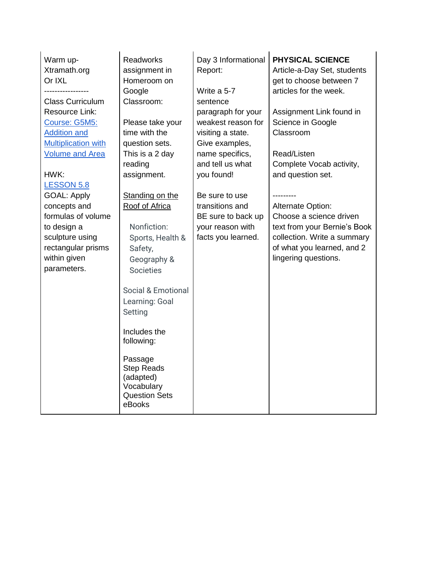| Warm up-<br>Xtramath.org<br>Or IXL<br><b>Class Curriculum</b>                                                                                   | <b>Readworks</b><br>assignment in<br>Homeroom on<br>Google<br>Classroom:                                                                                                         | Day 3 Informational<br>Report:<br>Write a 5-7<br>sentence                                                              | <b>PHYSICAL SCIENCE</b><br>Article-a-Day Set, students<br>get to choose between 7<br>articles for the week.                                                       |
|-------------------------------------------------------------------------------------------------------------------------------------------------|----------------------------------------------------------------------------------------------------------------------------------------------------------------------------------|------------------------------------------------------------------------------------------------------------------------|-------------------------------------------------------------------------------------------------------------------------------------------------------------------|
| Resource Link:<br>Course: G5M5:<br><b>Addition and</b><br><b>Multiplication with</b><br><b>Volume and Area</b>                                  | Please take your<br>time with the<br>question sets.<br>This is a 2 day<br>reading                                                                                                | paragraph for your<br>weakest reason for<br>visiting a state.<br>Give examples,<br>name specifics,<br>and tell us what | Assignment Link found in<br>Science in Google<br>Classroom<br>Read/Listen<br>Complete Vocab activity,                                                             |
| HWK:<br><b>LESSON 5.8</b>                                                                                                                       | assignment.                                                                                                                                                                      | you found!                                                                                                             | and question set.                                                                                                                                                 |
| <b>GOAL: Apply</b><br>concepts and<br>formulas of volume<br>to design a<br>sculpture using<br>rectangular prisms<br>within given<br>parameters. | Standing on the<br>Roof of Africa<br>Nonfiction:<br>Sports, Health &<br>Safety,<br>Geography &<br><b>Societies</b><br><b>Social &amp; Emotional</b><br>Learning: Goal<br>Setting | Be sure to use<br>transitions and<br>BE sure to back up<br>your reason with<br>facts you learned.                      | Alternate Option:<br>Choose a science driven<br>text from your Bernie's Book<br>collection. Write a summary<br>of what you learned, and 2<br>lingering questions. |
|                                                                                                                                                 | Includes the<br>following:                                                                                                                                                       |                                                                                                                        |                                                                                                                                                                   |
|                                                                                                                                                 | Passage<br><b>Step Reads</b><br>(adapted)<br>Vocabulary<br><b>Question Sets</b><br>eBooks                                                                                        |                                                                                                                        |                                                                                                                                                                   |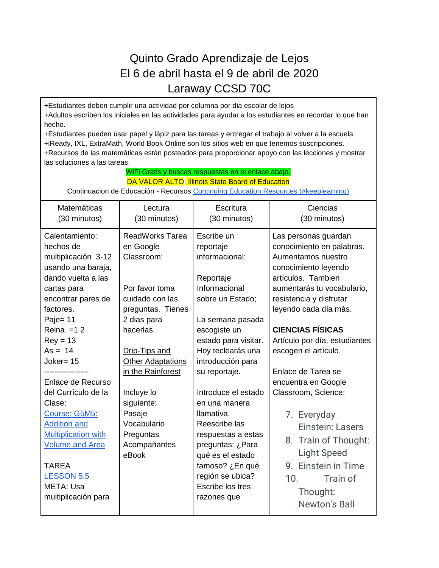## Quinto Grado Aprendizaje de Lejos El 6 de abril hasta el 9 de abril de 2020 Laraway CCSD 70C

+Estudiantes deben cumplir una actividad por columna por dia escolar de lejos +Adultos escriben los iniciales en las actividades para ayudar a los estudiantes en recordar lo que han hecho.

+Estudiantes pueden usar papel y lápiz para las tareas y entregar el trabajo al volver a la escuela. +iReady, IXL, ExtraMath, World Book Online son los sitios web en que tenemos suscripciones. +Recursos de las matemáticas están posteados para proporcionar apoyo con las lecciones y mostrar las soluciones a las tareas.

| WiFi Gratis y buscas respuestas en el enlace abajo.<br>DA VALOR ALTO: Illinois State Board of Education                                                                                                                                                                                                                                                                                                                                             |                                                                                                                                                                                                                                                                                                      |                                                                                                                                                                                                                                                                                                                                                                                                                                   |                                                                                                                                                                                                                                                                                                                                                                                                                                                                                                                         |
|-----------------------------------------------------------------------------------------------------------------------------------------------------------------------------------------------------------------------------------------------------------------------------------------------------------------------------------------------------------------------------------------------------------------------------------------------------|------------------------------------------------------------------------------------------------------------------------------------------------------------------------------------------------------------------------------------------------------------------------------------------------------|-----------------------------------------------------------------------------------------------------------------------------------------------------------------------------------------------------------------------------------------------------------------------------------------------------------------------------------------------------------------------------------------------------------------------------------|-------------------------------------------------------------------------------------------------------------------------------------------------------------------------------------------------------------------------------------------------------------------------------------------------------------------------------------------------------------------------------------------------------------------------------------------------------------------------------------------------------------------------|
| Continuacion de Educación - Recursos Continuing Education Resources (#keeplearning)                                                                                                                                                                                                                                                                                                                                                                 |                                                                                                                                                                                                                                                                                                      |                                                                                                                                                                                                                                                                                                                                                                                                                                   |                                                                                                                                                                                                                                                                                                                                                                                                                                                                                                                         |
| Matemáticas<br>(30 minutos)                                                                                                                                                                                                                                                                                                                                                                                                                         | Lectura<br>(30 minutos)                                                                                                                                                                                                                                                                              | Escritura<br>(30 minutos)                                                                                                                                                                                                                                                                                                                                                                                                         | Ciencias<br>(30 minutos)                                                                                                                                                                                                                                                                                                                                                                                                                                                                                                |
| Calentamiento:<br>hechos de<br>multiplicación 3-12<br>usando una baraja,<br>dando vuelta a las<br>cartas para<br>encontrar pares de<br>factores.<br>Paje= 11<br>Reina $=12$<br>$Rev = 13$<br>$As = 14$<br>$Joker=15$<br>Enlace de Recurso<br>del Currículo de la<br>Clase:<br>Course: G5M5:<br><b>Addition and</b><br><b>Multiplication with</b><br><b>Volume and Area</b><br><b>TAREA</b><br><b>LESSON 5.5</b><br>META: Usa<br>multiplicación para | <b>ReadWorks Tarea</b><br>en Google<br>Classroom:<br>Por favor toma<br>cuidado con las<br>preguntas. Tienes<br>2 dias para<br>hacerlas.<br>Drip-Tips and<br><b>Other Adaptations</b><br>in the Rainforest<br>Incluye lo<br>siguiente:<br>Pasaje<br>Vocabulario<br>Preguntas<br>Acompañantes<br>eBook | Escribe un<br>reportaje<br>informacional:<br>Reportaje<br>Informacional<br>sobre un Estado;<br>La semana pasada<br>escogiste un<br>estado para visitar.<br>Hoy teclearás una<br>introducción para<br>su reportaje.<br>Introduce el estado<br>en una manera<br>Ilamativa.<br>Reescribe las<br>respuestas a estas<br>preguntas: ¿Para<br>qué es el estado<br>famoso? ¿En qué<br>región se ubica?<br>Escribe los tres<br>razones que | Las personas guardan<br>conocimiento en palabras.<br>Aumentamos nuestro<br>conocimiento leyendo<br>artículos. Tambien<br>aumentarás tu vocabulario,<br>resistencia y disfrutar<br>leyendo cada día más.<br><b>CIENCIAS FÍSICAS</b><br>Artículo por día, estudiantes<br>escogen el artículo.<br>Enlace de Tarea se<br>encuentra en Google<br>Classroom, Science:<br>7. Everyday<br>Einstein: Lasers<br>8. Train of Thought:<br><b>Light Speed</b><br>9. Einstein in Time<br>Train of<br>10.<br>Thought:<br>Newton's Ball |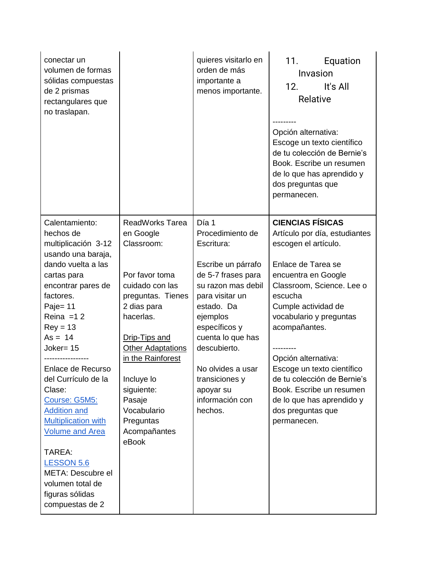| conectar un<br>volumen de formas<br>sólidas compuestas<br>de 2 prismas<br>rectangulares que                                                                   |                                                                                                                                                      | quieres visitarlo en<br>orden de más<br>importante a<br>menos importante.                                                                                         | 11.<br>Equation<br>Invasion<br>12.<br>It's All<br>Relative                                                                                                                    |
|---------------------------------------------------------------------------------------------------------------------------------------------------------------|------------------------------------------------------------------------------------------------------------------------------------------------------|-------------------------------------------------------------------------------------------------------------------------------------------------------------------|-------------------------------------------------------------------------------------------------------------------------------------------------------------------------------|
| no traslapan.                                                                                                                                                 |                                                                                                                                                      |                                                                                                                                                                   | Opción alternativa:<br>Escoge un texto científico<br>de tu colección de Bernie's<br>Book. Escribe un resumen<br>de lo que has aprendido y<br>dos preguntas que<br>permanecen. |
| Calentamiento:<br>hechos de<br>multiplicación 3-12                                                                                                            | <b>ReadWorks Tarea</b><br>en Google<br>Classroom:                                                                                                    | Día 1<br>Procedimiento de<br>Escritura:                                                                                                                           | <b>CIENCIAS FÍSICAS</b><br>Artículo por día, estudiantes<br>escogen el artículo.                                                                                              |
| usando una baraja,<br>dando vuelta a las<br>cartas para<br>encontrar pares de<br>factores.<br>Paje= 11<br>Reina $=12$<br>$Rey = 13$<br>$As = 14$<br>Joker= 15 | Por favor toma<br>cuidado con las<br>preguntas. Tienes<br>2 dias para<br>hacerlas.<br>Drip-Tips and<br><b>Other Adaptations</b><br>in the Rainforest | Escribe un párrafo<br>de 5-7 frases para<br>su razon mas debil<br>para visitar un<br>estado. Da<br>ejemplos<br>específicos y<br>cuenta lo que has<br>descubierto. | Enlace de Tarea se<br>encuentra en Google<br>Classroom, Science. Lee o<br>escucha<br>Cumple actividad de<br>vocabulario y preguntas<br>acompañantes.<br>Opción alternativa:   |
| Enlace de Recurso<br>del Currículo de la<br>Clase:<br>Course: G5M5:<br><b>Addition and</b><br><b>Multiplication with</b><br><b>Volume and Area</b>            | Incluye lo<br>siguiente:<br>Pasaje<br>Vocabulario<br>Preguntas<br>Acompañantes<br>eBook                                                              | No olvides a usar<br>transiciones y<br>apoyar su<br>información con<br>hechos.                                                                                    | Escoge un texto científico<br>de tu colección de Bernie's<br>Book. Escribe un resumen<br>de lo que has aprendido y<br>dos preguntas que<br>permanecen.                        |
| TAREA:<br><b>LESSON 5.6</b><br>META: Descubre el<br>volumen total de<br>figuras sólidas<br>compuestas de 2                                                    |                                                                                                                                                      |                                                                                                                                                                   |                                                                                                                                                                               |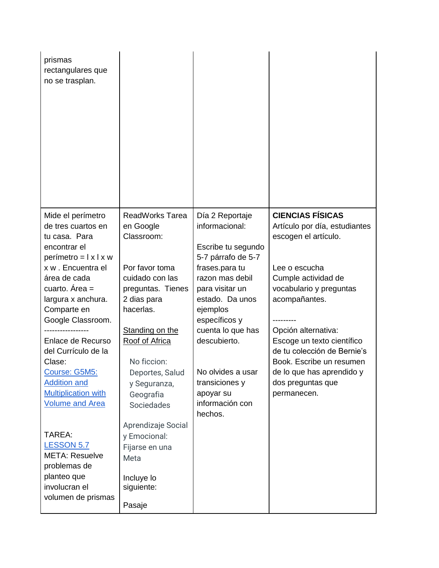| prismas<br>rectangulares que<br>no se trasplan.                                                                                                                                                                                                                                                                                                                                                 |                                                                                                                                                                                                                                                                                                        |                                                                                                                                                                                                                                                                                                              |                                                                                                                                                                                                                                                                                                                                                       |
|-------------------------------------------------------------------------------------------------------------------------------------------------------------------------------------------------------------------------------------------------------------------------------------------------------------------------------------------------------------------------------------------------|--------------------------------------------------------------------------------------------------------------------------------------------------------------------------------------------------------------------------------------------------------------------------------------------------------|--------------------------------------------------------------------------------------------------------------------------------------------------------------------------------------------------------------------------------------------------------------------------------------------------------------|-------------------------------------------------------------------------------------------------------------------------------------------------------------------------------------------------------------------------------------------------------------------------------------------------------------------------------------------------------|
| Mide el perímetro<br>de tres cuartos en<br>tu casa. Para<br>encontrar el<br>$perímetro = l \times l \times w$<br>x w . Encuentra el<br>área de cada<br>cuarto. Área =<br>largura x anchura.<br>Comparte en<br>Google Classroom.<br>Enlace de Recurso<br>del Currículo de la<br>Clase:<br>Course: G5M5:<br><b>Addition and</b><br><b>Multiplication with</b><br><b>Volume and Area</b><br>TAREA: | <b>ReadWorks Tarea</b><br>en Google<br>Classroom:<br>Por favor toma<br>cuidado con las<br>preguntas. Tienes<br>2 dias para<br>hacerlas.<br>Standing on the<br>Roof of Africa<br>No ficcion:<br>Deportes, Salud<br>y Seguranza,<br>Geografia<br><b>Sociedades</b><br>Aprendizaje Social<br>y Emocional: | Día 2 Reportaje<br>informacional:<br>Escribe tu segundo<br>5-7 párrafo de 5-7<br>frases.para tu<br>razon mas debil<br>para visitar un<br>estado. Da unos<br>ejemplos<br>específicos y<br>cuenta lo que has<br>descubierto.<br>No olvides a usar<br>transiciones y<br>apoyar su<br>información con<br>hechos. | <b>CIENCIAS FÍSICAS</b><br>Artículo por día, estudiantes<br>escogen el artículo.<br>Lee o escucha<br>Cumple actividad de<br>vocabulario y preguntas<br>acompañantes.<br>Opción alternativa:<br>Escoge un texto científico<br>de tu colección de Bernie's<br>Book. Escribe un resumen<br>de lo que has aprendido y<br>dos preguntas que<br>permanecen. |
| <b>LESSON 5.7</b><br><b>META: Resuelve</b><br>problemas de<br>planteo que<br>involucran el<br>volumen de prismas                                                                                                                                                                                                                                                                                | Fijarse en una<br>Meta<br>Incluye lo<br>siguiente:<br>Pasaje                                                                                                                                                                                                                                           |                                                                                                                                                                                                                                                                                                              |                                                                                                                                                                                                                                                                                                                                                       |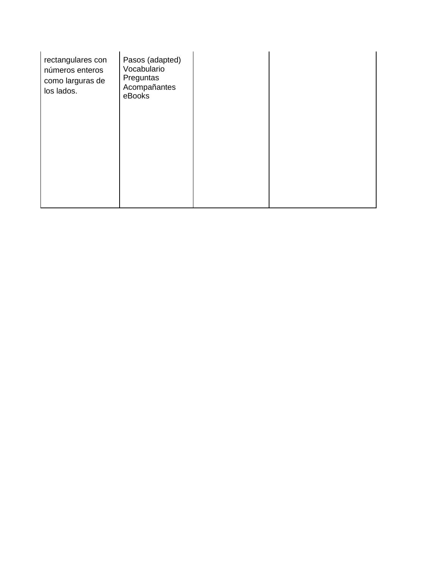| rectangulares con<br>números enteros<br>como larguras de<br>los lados. | Pasos (adapted)<br>Vocabulario<br>Preguntas<br>Acompañantes<br>eBooks |  |
|------------------------------------------------------------------------|-----------------------------------------------------------------------|--|
|                                                                        |                                                                       |  |